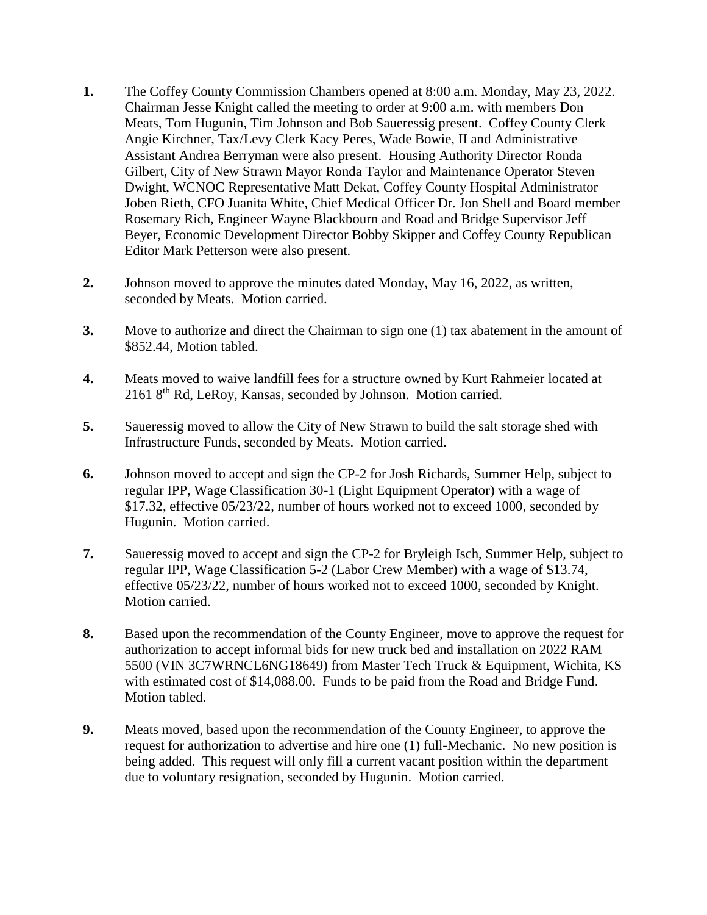- **1.** The Coffey County Commission Chambers opened at 8:00 a.m. Monday, May 23, 2022. Chairman Jesse Knight called the meeting to order at 9:00 a.m. with members Don Meats, Tom Hugunin, Tim Johnson and Bob Saueressig present. Coffey County Clerk Angie Kirchner, Tax/Levy Clerk Kacy Peres, Wade Bowie, II and Administrative Assistant Andrea Berryman were also present. Housing Authority Director Ronda Gilbert, City of New Strawn Mayor Ronda Taylor and Maintenance Operator Steven Dwight, WCNOC Representative Matt Dekat, Coffey County Hospital Administrator Joben Rieth, CFO Juanita White, Chief Medical Officer Dr. Jon Shell and Board member Rosemary Rich, Engineer Wayne Blackbourn and Road and Bridge Supervisor Jeff Beyer, Economic Development Director Bobby Skipper and Coffey County Republican Editor Mark Petterson were also present.
- **2.** Johnson moved to approve the minutes dated Monday, May 16, 2022, as written, seconded by Meats. Motion carried.
- **3.** Move to authorize and direct the Chairman to sign one (1) tax abatement in the amount of \$852.44, Motion tabled.
- **4.** Meats moved to waive landfill fees for a structure owned by Kurt Rahmeier located at 2161 8th Rd, LeRoy, Kansas, seconded by Johnson. Motion carried.
- **5.** Saueressig moved to allow the City of New Strawn to build the salt storage shed with Infrastructure Funds, seconded by Meats. Motion carried.
- **6.** Johnson moved to accept and sign the CP-2 for Josh Richards, Summer Help, subject to regular IPP, Wage Classification 30-1 (Light Equipment Operator) with a wage of \$17.32, effective 05/23/22, number of hours worked not to exceed 1000, seconded by Hugunin. Motion carried.
- **7.** Saueressig moved to accept and sign the CP-2 for Bryleigh Isch, Summer Help, subject to regular IPP, Wage Classification 5-2 (Labor Crew Member) with a wage of \$13.74, effective 05/23/22, number of hours worked not to exceed 1000, seconded by Knight. Motion carried.
- **8.** Based upon the recommendation of the County Engineer, move to approve the request for authorization to accept informal bids for new truck bed and installation on 2022 RAM 5500 (VIN 3C7WRNCL6NG18649) from Master Tech Truck & Equipment, Wichita, KS with estimated cost of \$14,088.00. Funds to be paid from the Road and Bridge Fund. Motion tabled.
- **9.** Meats moved, based upon the recommendation of the County Engineer, to approve the request for authorization to advertise and hire one (1) full-Mechanic. No new position is being added. This request will only fill a current vacant position within the department due to voluntary resignation, seconded by Hugunin. Motion carried.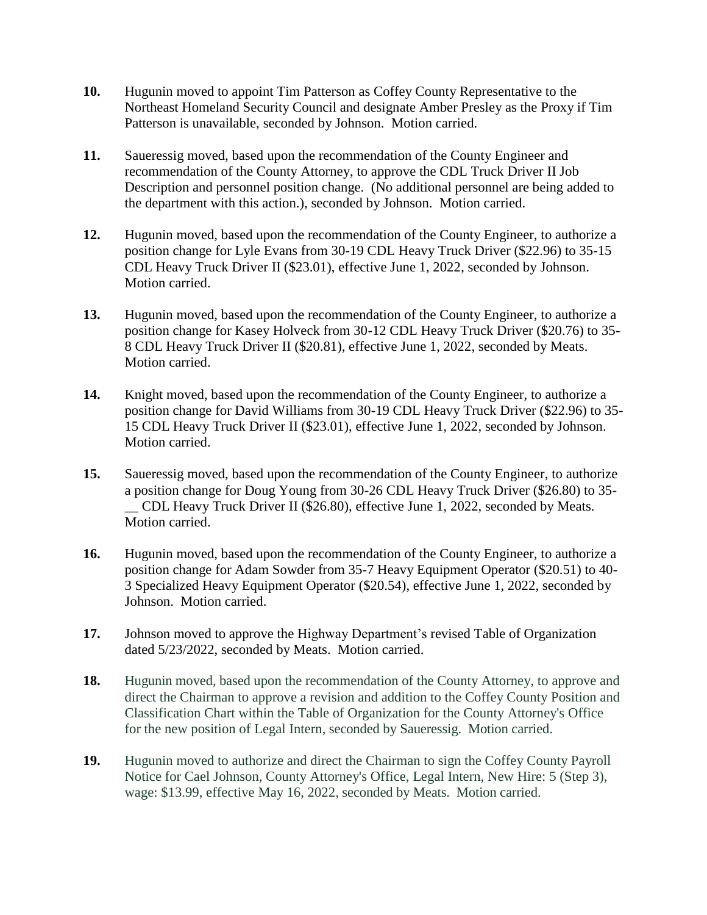- **10.** Hugunin moved to appoint Tim Patterson as Coffey County Representative to the Northeast Homeland Security Council and designate Amber Presley as the Proxy if Tim Patterson is unavailable, seconded by Johnson. Motion carried.
- **11.** Saueressig moved, based upon the recommendation of the County Engineer and recommendation of the County Attorney, to approve the CDL Truck Driver II Job Description and personnel position change. (No additional personnel are being added to the department with this action.), seconded by Johnson. Motion carried.
- **12.** Hugunin moved, based upon the recommendation of the County Engineer, to authorize a position change for Lyle Evans from 30-19 CDL Heavy Truck Driver (\$22.96) to 35-15 CDL Heavy Truck Driver II (\$23.01), effective June 1, 2022, seconded by Johnson. Motion carried.
- **13.** Hugunin moved, based upon the recommendation of the County Engineer, to authorize a position change for Kasey Holveck from 30-12 CDL Heavy Truck Driver (\$20.76) to 35- 8 CDL Heavy Truck Driver II (\$20.81), effective June 1, 2022, seconded by Meats. Motion carried.
- **14.** Knight moved, based upon the recommendation of the County Engineer, to authorize a position change for David Williams from 30-19 CDL Heavy Truck Driver (\$22.96) to 35- 15 CDL Heavy Truck Driver II (\$23.01), effective June 1, 2022, seconded by Johnson. Motion carried.
- **15.** Saueressig moved, based upon the recommendation of the County Engineer, to authorize a position change for Doug Young from 30-26 CDL Heavy Truck Driver (\$26.80) to 35- \_\_ CDL Heavy Truck Driver II (\$26.80), effective June 1, 2022, seconded by Meats. Motion carried.
- **16.** Hugunin moved, based upon the recommendation of the County Engineer, to authorize a position change for Adam Sowder from 35-7 Heavy Equipment Operator (\$20.51) to 40- 3 Specialized Heavy Equipment Operator (\$20.54), effective June 1, 2022, seconded by Johnson. Motion carried.
- **17.** Johnson moved to approve the Highway Department's revised Table of Organization dated 5/23/2022, seconded by Meats. Motion carried.
- **18.** Hugunin moved, based upon the recommendation of the County Attorney, to approve and direct the Chairman to approve a revision and addition to the Coffey County Position and Classification Chart within the Table of Organization for the County Attorney's Office for the new position of Legal Intern, seconded by Saueressig. Motion carried.
- **19.** Hugunin moved to authorize and direct the Chairman to sign the Coffey County Payroll Notice for Cael Johnson, County Attorney's Office, Legal Intern, New Hire: 5 (Step 3), wage: \$13.99, effective May 16, 2022, seconded by Meats. Motion carried.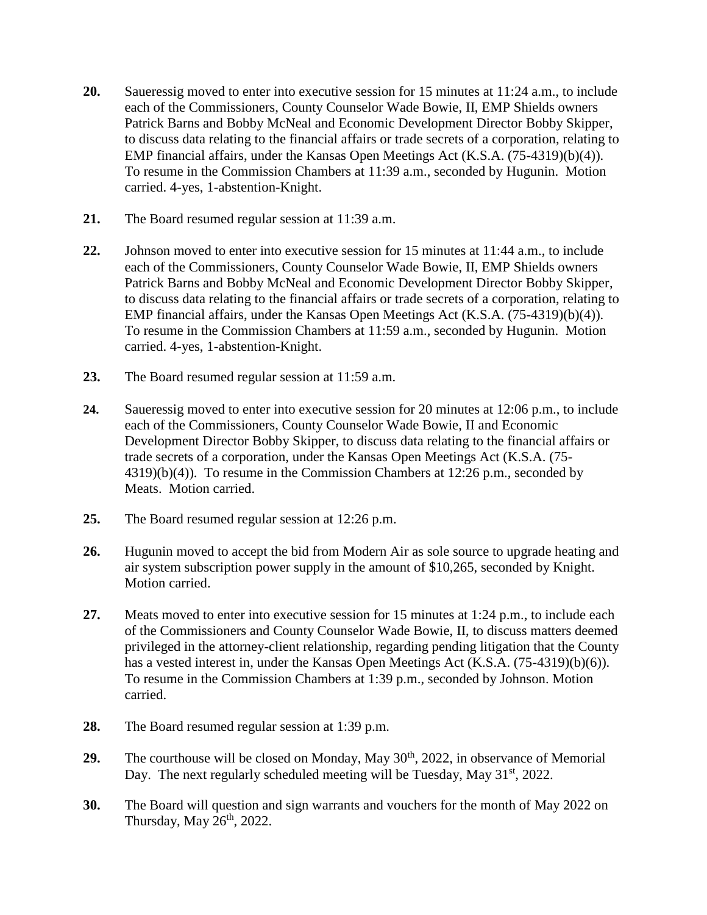- **20.** Saueressig moved to enter into executive session for 15 minutes at 11:24 a.m., to include each of the Commissioners, County Counselor Wade Bowie, II, EMP Shields owners Patrick Barns and Bobby McNeal and Economic Development Director Bobby Skipper, to discuss data relating to the financial affairs or trade secrets of a corporation, relating to EMP financial affairs, under the Kansas Open Meetings Act (K.S.A. (75-4319)(b)(4)). To resume in the Commission Chambers at 11:39 a.m., seconded by Hugunin. Motion carried. 4-yes, 1-abstention-Knight.
- **21.** The Board resumed regular session at 11:39 a.m.
- **22.** Johnson moved to enter into executive session for 15 minutes at 11:44 a.m., to include each of the Commissioners, County Counselor Wade Bowie, II, EMP Shields owners Patrick Barns and Bobby McNeal and Economic Development Director Bobby Skipper, to discuss data relating to the financial affairs or trade secrets of a corporation, relating to EMP financial affairs, under the Kansas Open Meetings Act (K.S.A. (75-4319)(b)(4)). To resume in the Commission Chambers at 11:59 a.m., seconded by Hugunin. Motion carried. 4-yes, 1-abstention-Knight.
- **23.** The Board resumed regular session at 11:59 a.m.
- **24.** Saueressig moved to enter into executive session for 20 minutes at 12:06 p.m., to include each of the Commissioners, County Counselor Wade Bowie, II and Economic Development Director Bobby Skipper, to discuss data relating to the financial affairs or trade secrets of a corporation, under the Kansas Open Meetings Act (K.S.A. (75- 4319)(b)(4)). To resume in the Commission Chambers at 12:26 p.m., seconded by Meats. Motion carried.
- **25.** The Board resumed regular session at 12:26 p.m.
- **26.** Hugunin moved to accept the bid from Modern Air as sole source to upgrade heating and air system subscription power supply in the amount of \$10,265, seconded by Knight. Motion carried.
- **27.** Meats moved to enter into executive session for 15 minutes at 1:24 p.m., to include each of the Commissioners and County Counselor Wade Bowie, II, to discuss matters deemed privileged in the attorney-client relationship, regarding pending litigation that the County has a vested interest in, under the Kansas Open Meetings Act (K.S.A. (75-4319)(b)(6)). To resume in the Commission Chambers at 1:39 p.m., seconded by Johnson. Motion carried.
- **28.** The Board resumed regular session at 1:39 p.m.
- **29.** The courthouse will be closed on Monday, May 30<sup>th</sup>, 2022, in observance of Memorial Day. The next regularly scheduled meeting will be Tuesday, May  $31<sup>st</sup>$ , 2022.
- **30.** The Board will question and sign warrants and vouchers for the month of May 2022 on Thursday, May  $26<sup>th</sup>$ , 2022.